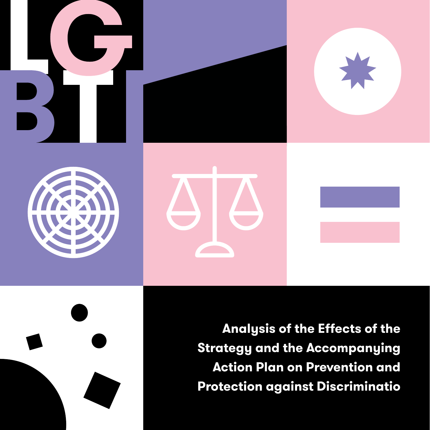

Analysis of the Effects of the **Strategy and the Accompanying Action Plan on Prevention and Protection against Discriminatio**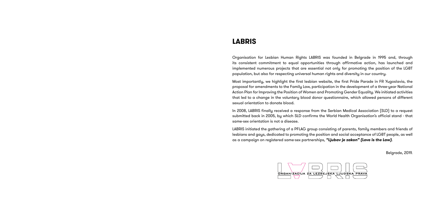### **LABRIS**

Organisation for Lesbian Human Rights LABRIS was founded in Belgrade in 1995 and, through its consistent commitment to equal opportunities through affirmative action, has launched and implemented numerous projects that are essential not only for promoting the position of the LGBT population, but also for respecting universal human rights and diversity in our country.

Most importantly, we highlight the first lesbian website, the first Pride Parade in FR Yugoslavia, the proposal for amendments to the Family Law, participation in the development of a three-year National Action Plan for Improving the Position of Women and Promoting Gender Equality. We initiated activities that led to a change in the voluntary blood donor questionnaire, which allowed persons of different sexual orientation to donate blood.

In 2008, LABRIS finally received a response from the Serbian Medical Association (SLD) to a request submitted back in 2005, by which SLD confirms the World Health Organisation's official stand - that same-sex orientation is not a disease.

LABRIS initiated the gathering of a PFLAG group consisting of parents, family members and friends of lesbians and gays, dedicated to promoting the position and social acceptance of LGBT people, as well as a campaign on registered same-sex partnerships, *"Ljubav je zakon" (Love is the Law)*.



Belgrade, 2019.

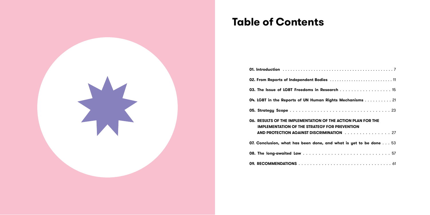## **Table of Contents**

| 02. From Reports of Independent Bodies  11                                                                                                                       |
|------------------------------------------------------------------------------------------------------------------------------------------------------------------|
| 03. The Issue of LGBT Freedoms in Research 15                                                                                                                    |
| 04. LGBT in the Reports of UN Human Rights Mechanisms 21                                                                                                         |
|                                                                                                                                                                  |
| 06. RESULTS OF THE IMPLEMENTATION OF THE ACTION PLAN FOR THE<br><b>IMPLEMENTATION OF THE STRATEGY FOR PREVENTION</b><br>AND PROTECTION AGAINST DISCRIMINATION 27 |
| 07. Conclusion, what has been done, and what is yet to be done 53                                                                                                |
|                                                                                                                                                                  |
|                                                                                                                                                                  |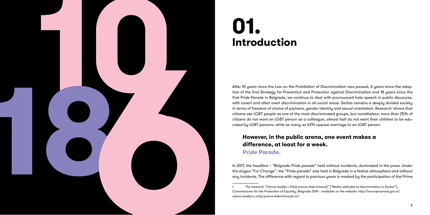After 10 years since the Law on the Prohibition of Discrimination was passed, 6 years since the adop tion of the first Strategy for Prevention and Protection against Discrimination and 18 years since the first Pride Parade in Belgrade, we continue to deal with pronounced hate speech in public discourse, with covert and often overt discrimination in all social areas. Serbia remains a deeply divided society in terms of freedom of choice of partners, gender identity and sexual orientation. Research' shows that citizens see LGBT people as one of the most discriminated groups, but nonetheless, more than 25% of citizens do not want an LGBT person as a colleague, almost half do not want their children to be edu cated by LGBT persons, while as many as 63% oppose marriage to an LGBT person.

In 2017, the headline – *"Belgrade Pride parade" held without incidents*, dominated in the press. Under the slogan "For Change", the "Pride parade" was held in Belgrade in a festive atmosphere and without any incidents. The difference with regard to previous years is marked by the participation of the Prime<br>1 The research "Odnos medija u Srbiji prema diskriminaciji" ("Media attitudes to discrimination in Serbia"),

### **However, in the public arena, one event makes a difference, at least for a week. Pride Parade.**



# **01. Introduction**

Commissioner for the Protection of Equality, Belgrade 2018 – available on the website: http://ravnopravnost.gov.rs/ odnos-medija-u-srbiji-prema-diskriminaciji-cir/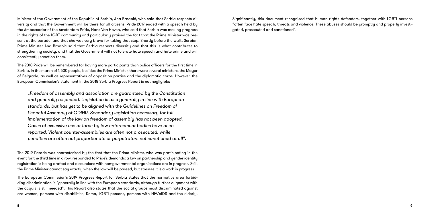Minister of the Government of the Republic of Serbia, Ana Brnabić, who said that Serbia respects diversity and that the Government will be there for all citizens. Pride 2017 ended with a speech held by the Ambassador of the Amsterdam Pride, Hans Van Hoven, who said that Serbia was making progress in the rights of the LGBT community and particularly praised the fact that the Prime Minister was present at the parade, and that she was very brave for taking that step. Shortly before the walk, Serbian Prime Minister Ana Brnabić said that Serbia respects diversity and that this is what contributes to strengthening society, and that the Government will not tolerate hate speech and hate crime and will consistently sanction them.

The 2018 Pride will be remembered for having more participants than police officers for the first time in Serbia. In the march of 1,500 people, besides the Prime Minister, there were several ministers, the Mayor of Belgrade, as well as representatives of opposition parties and the diplomatic corps. However, the European Commission's statement in the 2018 Serbia Progress Report is not negligible:

*"Freedom of assembly and association are guaranteed by the Constitution and generally respected. Legislation is also generally in line with European standards, but has yet to be aligned with the Guidelines on Freedom of Peaceful Assembly of ODIHR. Secondary legislation necessary for full implementation of the law on freedom of assembly has not been adopted. Cases of excessive use of force by law enforcement bodies have been reported. Violent counter-assemblies are often not prosecuted, while penalties are often not proportionate or perpetrators not sanctioned at all".*

The 2019 Parade was characterized by the fact that the Prime Minister, who was participating in the event for the third time in a row, responded to Pride's demands: a law on partnership and gender identity registration is being drafted and discussions with non-governmental organisations are in progress. Still, the Prime Minister cannot say exactly when the law will be passed, but stresses it is a work in progress.

The European Commission's 2019 Progress Report for Serbia states that the normative area forbidding discrimination is "generally in line with the European standards, although further alignment with the acquis is still needed". This Report also states that the social groups most discriminated against are women, persons with disabilities, Roma, LGBTI persons, persons with HIV/AIDS and the elderly. Significantly, this document recognised that human rights defenders, together with LGBTI persons "often face hate speech, threats and violence. These abuses should be promptly and properly investigated, prosecuted and sanctioned".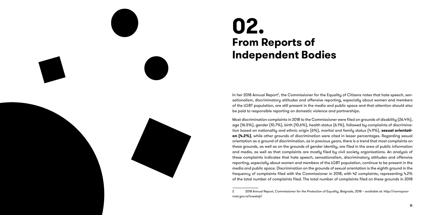In her 2018 Annual Report<sup>2</sup>, the Commissioner for the Equality of Citizens notes that hate speech, sensationalism, discriminatory attitudes and offensive reporting, especially about women and members of the LGBT population, are still present in the media and public space and that attention should also be paid to responsible reporting on domestic violence and partnerships.

Most discrimination complaints in 2018 to the Commissioner were filed on grounds of disability (26.4%), age (16.5%), gender (10.7%), birth (10.6%), health status (6.1%), followed by complaints of discrimina tion based on nationality and ethnic origin (6%), marital and family status (4.9%), **sexual orientati on (4.2%)**, while other grounds of discrimination were cited in lesser percentages. Regarding sexual orientation as a ground of discrimination, as in previous years, there is a trend that most complaints on these grounds, as well as on the grounds of gender identity, are filed in the area of public information and media, as well as that complaints are mostly filed by civil society organisations. An analysis of these complaints indicates that hate speech, sensationalism, discriminatory attitudes and offensive reporting, especially about women and members of the LGBT population, continue to be present in the media and public space. Discrimination on the grounds of sexual orientation is the eighth ground in the frequency of complaints filed with the Commissioner in 2018, with 42 complaints, representing 4.2% of the total number of complaints filed. The total number of complaints filed on these grounds in 2018 2 2018 Annual Report, Commissioner for the Protection of Equality, Belgrade, 2018 – available at: http://ravnoprav-

# **02. From Reports of Independent Bodies**

nost.gov.rs/izvestaji/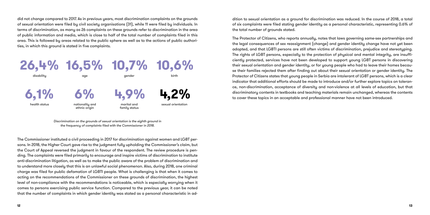did not change compared to 2017. As in previous years, most discrimination complaints on the grounds of sexual orientation were filed by civil society organisations (31), while 11 were filed by individuals. In terms of discrimination, as many as 26 complaints on these grounds refer to discrimination in the area of public information and media, which is close to half of the total number of complaints filed in this area. This is followed by areas related to the public sphere as well as to the actions of public authorities, in which this ground is stated in five complaints.

The Commissioner instituted a civil proceeding in 2017 for discrimination against women and LGBT persons. In 2018, the Higher Court gave rise to the judgment fully upholding the Commissioner's claim, but the Court of Appeal reversed the judgment in favour of the respondent. The review procedure is pending. The complaints were filed primarily to encourage and inspire victims of discrimination to institute anti-discrimination litigation, as well as to make the public aware of the problem of discrimination and to understand more closely that this is an unlawful social phenomenon. Also, during 2018, one criminal charge was filed for public defamation of LGBTI people. What is challenging is that when it comes to acting on the recommendations of the Commissioner on these grounds of discrimination, the highest level of non-compliance with the recommendations is noticeable, which is especially worrying when it comes to persons exercising public service function. Compared to the previous year, it can be noted that the number of complaints in which gender identity was stated as a personal characteristic in addition to sexual orientation as a ground for discrimination was reduced. In the course of 2018, a total of six complaints were filed stating gender identity as a personal characteristic, representing 0.6% of the total number of grounds stated.

The Protector of Citizens, who reports annually, notes that laws governing same-sex partnerships and the legal consequences of sex reassignment (change) and gender identity change have not yet been adopted, and that LGBTI persons are still often victims of discrimination, prejudice and stereotyping. The rights of LGBT persons, especially to the protection of physical and mental integrity, are insufficiently protected, services have not been developed to support young LGBT persons in discovering their sexual orientation and gender identity, or for young people who had to leave their homes because their families rejected them after finding out about their sexual orientation or gender identity. The Protector of Citizens states that young people in Serbia are intolerant of LGBT persons, which is a clear indicator that additional efforts should be made to introduce and/or further explore topics on tolerance, non-discrimination, acceptance of diversity and non-violence at all levels of education, but that discriminatory contents in textbooks and teaching materials remain unchanged, whereas the contents to cover these topics in an acceptable and professional manner have not been introduced.



*Discrimination on the grounds of sexual orientation is the eighth ground in*  the frequency of complaints filed with the Commissioner in 2018.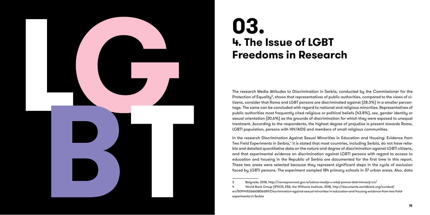

In the research Discrimination Against Sexual Minorities in Education and Housing: Evidence from Two Field Experiments in Serbia,<sup>4</sup> it is stated that most countries, including Serbia, do not have reliable and detailed quantitative data on the nature and degree of discrimination against LGBTI citizens, and that experimental evidence on discrimination against LGBTI persons with regard to access to education and housing in the Republic of Serbia are documented for the first time in this report. These two areas were selected because they represent significant steps in the cycle of exclusion faced by LGBTI persons. The experiment sampled 184 primary schools in 37 urban areas. Also, data<br>3 Belgrade, 2018, http://ravnopravnost.gov.rs/odnos-medija-u-srbiji-prema-diskriminaciji-cir/

The research Media Attitudes to Discrimination in Serbia, conducted by the Commissioner for the Protection of Equality<sup>3</sup>, shows that representatives of public authorities, compared to the views of citizens, consider that Roma and LGBT persons are discriminated against (28.3%) in a smaller percen tage. The same can be concluded with regard to national and religious minorities. Representatives of public authorities most frequently cited religious or political beliefs (43.8%), sex, gender identity or sexual orientation (20.6%) as the grounds of discrimination for which they were exposed to unequal treatment. According to the respondents, the highest degree of prejudice is present towards Roma, LGBTI population, persons with HIV/AIDS and members of small religious communities.

# **03. 4. The Issue of LGBT Freedoms in Research**

<sup>4</sup> World Bank Group (IPSOS, ERA, the Williams Institute, 2018, http://documents.worldbank.org/curated/ en/509141526660806689/Discrimination-against-sexual-minorities-in-education-and-housing-evidence-from-two-fieldexperiments-in-Serbia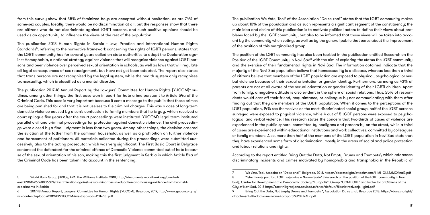from this survey show that 35% of feminized boys are accepted without hesitation, as are 74% of same-sex couples. Ideally, there would be no discrimination at all, but the responses show that there are citizens who do not discriminate against LGBTI persons, and such positive opinions should be used as an opportunity to influence the views of the rest of the population.

The publication 2018 Human Rights in Serbia - Law, Practice and International Human Rights Standards<sup>5</sup>, referring to the normative framework concerning the rights of LGBTI persons, states that the LGBTI community has for several years called on state authorities to adopt the Declaration against Homophobia, a national strategy against violence that will recognise violence against LGBTI persons and peer violence over perceived sexual orientation in schools, as well as laws that will regulate all legal consequences of sex reassignment, but have not yet been adopted. The report also states that trans persons are not recognised by the legal system, while the health system only recognises transexuality, which is classified as a mental disorder.

The publication 2017-18 Annual Report by the Lawyers' Committee for Human Rights (YUCOM) $^{\circ}$  outlines, among other things, the first case won in court for hate crime pursuant to Article 54a of the Criminal Code. This case is very important because it sent a message to the public that these crimes are being punished for and that it is not useless to file criminal charges. This was a case of long-term domestic violence caused by a son's confession to family members that he is gay, which received a court epilogue five years after the court proceedings were instituted. YUCOM's legal team instituted parallel civil and criminal proceedings for protection against domestic violence. The civil proceedings were closed by a final judgment in less than two years. Among other things, the decision ordered the eviction of the father from the common household, as well as a prohibition on further violence and harassment of petitioners. All materials collected during the proceedings were submitted successively also to the acting prosecutor, which was very significant. The First Basic Court in Belgrade sentenced the defendant for the criminal offence of Domestic Violence committed out of hate because of the sexual orientation of his son, making this the first judgment in Serbia in which Article 54a of the Criminal Code has been taken into account in the sentencing.

The publication We Vote, Too!<sup>7</sup> of the Association "Da se zna!" states that the LGBT community makes up about 10% of the population and as such represents a significant segment of the constituency; the main idea and desire of this publication is to motivate political actors to define their views about problems faced by the LGBT community, but also to be informed that those views will be taken into account by the community when voting, as well as by the general public that cares about the improvement of the position of this marginalized group.

According to the report entitled Bring Out the Data, Not Empty Drums and Trumpets $^{\circ}$ , which addresses discriminatory incidents and crimes motivated by homophobia and transphobia in the Republic of

The position of the LGBT community has also been tackled in the publication entitled Research on the Position of the LGBT Community in Novi Sad<sup>8</sup> with the aim of exploring the status the LGBT community and the exercise of their fundamental rights in Novi Sad. The information obtained indicate that the majority of the Novi Sad population believe that homosexuality is a disease, whereas less than a third of citizens believe that members of the LGBT population are exposed to physical, psychological or verbal violence because of their sexual orientation or gender identity. Furthermore, as many as 43% of parents are not at all aware of the sexual orientation or gender identity of their LGBTI children. Apart from family, a negative attitude is also evident in the sphere of social relations. Thus, 25% of respondents would cast off their friend, acquaintance, or colleague by not communicating with them after finding out that they are members of the LGBTI population. When it comes to the perceptions of the LGBT population, 14% see themselves as the most discriminated social group, half of the LGBT persons surveyed were exposed to physical violence, while 4 out of 5 LGBT persons were exposed to psychological and verbal violence. This research states the concern that two-thirds of cases of violence are experienced in the public sphere, committed by hooligans and passers-by on the street, while a third of cases are experienced within educational institutions and work collectives, committed by colleagues or family members. Also, more than half of the members of the LGBTI population in Novi Sad state that they have experienced some form of discrimination, mostly in the areas of social and police protection and labour relations and rights.

7 We Vote, Too!, Association "Da se zna!", Belgrade, 2018, https://dasezna.lgbt/attachments/I\_MI\_GLASAMOfinal2.pdf 8 "Istraživanje položaja LGBT zajednice u Novom Sadu" (Research on the position of the LGBT community in Novi

9 Bring Out the Data, Not Empty Drums and Trumpets ", Association Da se zna!, Belgrade 2018, https://dasezna.lgbt/

<sup>5</sup> World Bank Group (IPSOS, ERA, the Williams Institute, 2018, http://documents.worldbank.org/curated/ en/509141526660806689/Discrimination-against-sexual-minorities-in-education-and-housing-evidence-from-two-fieldexperiments-in-Serbia

<sup>6</sup> 2017-18 Annual Report, Lawyers' Committee for Human Rights (YUCOM), Belgrade, 2019, http://www.yucom.org.rs/ wp-content/uploads/2019/02/YUCOM-izvestaj-o-radu-2017-18..pdf

Sad), Centre for Development of a Democratic Society "Europolis", Group "COME OUT" and Protector of Citizens of the City of Novi Sad, 2018 http://zastitnikgradjana.novisad.rs/sites/default/files/istrazivanje\_lgbti.pdf attachments/Podaci-a-ne-zvona-i-praporci%20FINAL2.pdf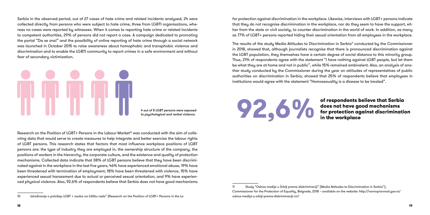Serbia in the observed period, out of 27 cases of hate crime and related incidents analysed, 24 were collected directly from persons who were subject to hate crime, three from LGBTI organisations, whereas no cases were reported by witnesses. When it comes to reporting hate crime or related incidents to competent authorities, 29% of persons did not report a case. A campaign dedicated to promoting the portal "Da se zna!" and the possibility of online reporting of hate crime through a social network was launched in October 2015 to raise awareness about homophobic and transphobic violence and discrimination and to enable the LGBTI community to report crimes in a safe environment and without fear of secondary victimization.



Research on the Position of LGBT+ Persons in the Labour Market<sup>10</sup> was conducted with the aim of collecting data that would serve to create measures to help integrate and better exercise the labour rights of LGBT persons. This research states that factors that most influence workplace positions of LGBT persons are: the type of industry they are employed in, the ownership structure of the company, the positions of workers in the hierarchy, the corporate culture, and the existence and quality of protection mechanisms. Collected data indicate that 38% of LGBT persons believe that they have been discriminated against in the workplace in the last five years, 46% have experienced emotional abuse, 19% have been threatened with termination of employment, 18% have been threatened with violence, 15% have experienced sexual harassment due to actual or perceived sexual orientation, and 9% have experienced physical violence. Also, 92.6% of respondents believe that Serbia does not have good mechanisms

The results of the study Media Attitudes to Discrimination in Serbia<sup>11</sup> conducted by the Commissioner in 2018, showed that, although journalists recognise that there is pronounced discrimination against the LGBT population, they themselves have a certain degree of social distance to this minority group. Thus, 21% of respondents agree with the statement "I have nothing against LGBT people, but let them be what they are at home and not in public", while 15% remained ambivalent. Also, an analysis of another study conducted by the Commissioner during the year on attitudes of representatives of public authorities on discrimination in Serbia, showed that 25% of respondents believe that employees in institutions would agree with the statement "Homosexuality is a disease to be treated".

**92.6%** 

for protection against discrimination in the workplace. Likewise, interviews with LGBT+ persons indicate that they do not recognise discrimination in the workplace, nor do they seem to have the support, either from the state or civil society, to counter discrimination in the world of work. In addition, as many as 77% of LGBT+ persons reported hiding their sexual orientation from all employees in the workplace.

#### of respondents believe that Serbia does not have good mechanisms for protection against discrimination in the workplace

*4 out of 5 LGBT persons were exposed to psychological and verbal violence*

<sup>10</sup> Istraživanje o položaju LGBT + osoba na tržištu rada" (Research on the Position of LGBT+ Persons in the La

<sup>11</sup> Study "Odnos medija u Srbiji prema diskriminaciji" (Media Attitudes to Discrimination in Serbia"), Commissioner for the Protection of Equality, Belgrade, 2018 – available on the website: http://ravnopravnost.gov.rs/ odnos-medija-u-srbiji-prema-diskriminaciji-cir/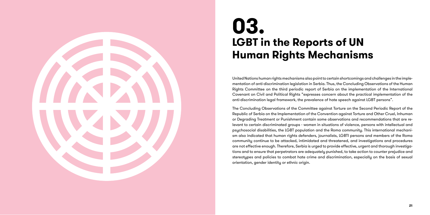United Nations human rights mechanisms also point to certain shortcomings and challenges in the imple mentation of anti-discrimination legislation in Serbia. Thus, the Concluding Observations of the Human Rights Committee on the third periodic report of Serbia on the implementation of the International Covenant on Civil and Political Rights "expresses concern about the practical implementation of the anti-discrimination legal framework, the prevalence of hate speech against LGBT persons".

The Concluding Observations of the Committee against Torture on the Second Periodic Report of the Republic of Serbia on the Implementation of the Convention against Torture and Other Cruel, Inhuman or Degrading Treatment or Punishment contain some observations and recommendations that are re levant to certain discriminated groups - women in situations of violence, persons with intellectual and psychosocial disabilities, the LGBT population and the Roma community. This international mechani sm also indicated that human rights defenders, journalists, LGBTI persons and members of the Roma community continue to be attacked, intimidated and threatened, and investigations and procedures are not effective enough. Therefore, Serbia is urged to provide effective, urgent and thorough investiga tions and to ensure that perpetrators are adequately punished, to take action to counter prejudice and stereotypes and policies to combat hate crime and discrimination, especially on the basis of sexual orientation, gender identity or ethnic origin.

# **03. LGBT in the Reports of UN Human Rights Mechanisms**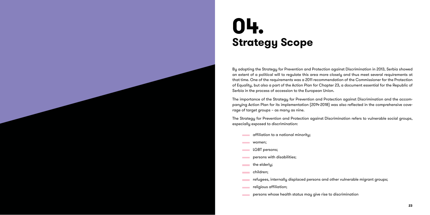

By adopting the Strategy for Prevention and Protection against Discrimination in 2013, Serbia showed an extent of a political will to regulate this area more closely and thus meet several requirements at that time. One of the requirements was a 2011 recommendation of the Commissioner for the Protection of Equality, but also a part of the Action Plan for Chapter 23, a document essential for the Republic of Serbia in the process of accession to the European Union.

The importance of the Strategy for Prevention and Protection against Discrimination and the accom panying Action Plan for its implementation (2014-2018) was also reflected in the comprehensive cove rage of target groups – as many as nine.

The Strategy for Prevention and Protection against Discrimination refers to vulnerable social groups, especially exposed to discrimination:

- $\Box$  affiliation to a national minority;
- women;
- LGBT persons; **Contract Contract**
- persons with disabilities; **Contract**
- the elderly; **Contract Contract**
- children;
- refugees, internally displaced persons and other vulnerable migrant groups; **Contract Contract**
- religious affiliation; **Contract**
- persons whose health status may give rise to discrimination **Contract Contract**

# **04. Strategy Scope**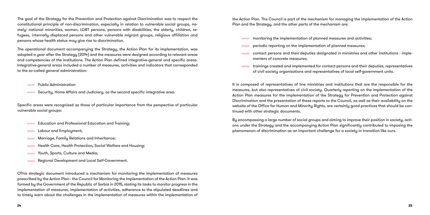The goal of the Strategy for the Prevention and Protection against Discrimination was to respect the constitutional principle of non-discrimination, especially in relation to vulnerable social groups, namely: national minorities, women, LGBT persons, persons with disabilities, the elderly, children, refugees, internally displaced persons and other vulnerable migrant groups, religious affiliation and persons whose health status may give rise to discrimination.

Public Administration **Contract Contract** 

- Education and Professional Education and Training; **Contract Contract**
- Labour and Employment; **Contract Contract**
- Marriage, Family Relations and Inheritance; **Contractor**
- Health Care, Health Protection, Social Welfare and Housing; **Contract**
- Youth, Sports, Culture and Media; **Contract Contract**
- Regional Development and Local Self-Government. **Contract Contract**

The operational document accompanying the Strategy, the Action Plan for its implementation, was adopted a year after the Strategy (2014) and the measures were designed according to relevant areas and competencies of the institutions. The Action Plan defined integrative-general and specific areas. Integrative-general areas included a number of measures, activities and indicators that corresponded to the so-called general administration:

Security, Home Affairs and Judiciary, as the second specific integrative area.

Specific areas were recognised as those of particular importance from the perspective of particular vulnerable social groups:

OThis strategic document introduced a mechanism for monitoring the implementation of measures prescribed by the Action Plan - the Council for Monitoring the Implementation of the Action Plan. It was formed by the Government of the Republic of Serbia in 2015, stating its tasks to monitor progress in the implementation of measures, implementation of activities, adherence to the stipulated deadlines and to timely warn about the challenges in the implementation of measures within the implementation of the Action Plan. The Council is part of the mechanism for managing the implementation of the Action Plan and the Strategy, and the other parts of the mechanism are:

contact persons and their deputies designated in ministries and other institutions - imple-

- monitoring the implementation of planned measures and activities;
- periodic reporting on the implementation of planned measures;
- menters of concrete measures;
- of civil society organisations and representatives of local self-government units.

trainings created and implemented for contact persons and their deputies, representatives

It is composed of representatives of line ministries and institutions that are the responsible for the measures, but also representatives of civil society. Quarterly reporting on the implementation of the Action Plan measures for the implementation of the Strategy for Prevention and Protection against Discrimination and the presentation of these reports to the Council, as well as their availability on the website of the Office for Human and Minority Rights, are certainly good practices that should be continued with other strategic documents.

By encompassing a large number of social groups and aiming to improve their position in society, actions under the Strategy and the accompanying Action Plan significantly contributed to imposing the phenomenon of discrimination as an important challenge for a society in transition like ours.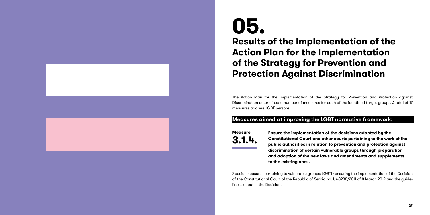The Action Plan for the Implementation of the Strategy for Prevention and Protection against Discrimination determined a number of measures for each of the identified target groups. A total of 17 measures address LGBT persons.

#### **Measures aimed at improving the LGBT normative framework:**

**Ensure the implementation of the decisions adopted by the Constitutional Court and other courts pertaining to the work of the public authorities in relation to prevention and protection against discrimination of certain vulnerable groups through preparation and adoption of the new laws and amendments and supplements to the existing ones.**

Special measures pertaining to vulnerable groups: LGBTI - ensuring the implementation of the Decision of the Constitutional Court of the Republic of Serbia no. Už-3238/2011 of 8 March 2012 and the guide lines set out in the Decision.

# **05. Results of the Implementation of the Action Plan for the Implementation of the Strategy for Prevention and Protection Against Discrimination**

**Measure 3.1.4.**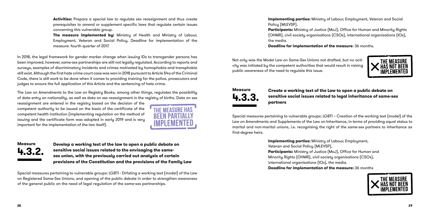**Activities:** Prepare a special law to regulate sex reassignment and thus create prerequisites to amend or supplement specific laws that regulate certain issues concerning this vulnerable group.

**The measure implemented by:** Ministry of Health and Ministry of Labour, Employment, Veteran and Social Policy. Deadline for implementation of the measure: fourth quarter of 2017.

In 2018, the legal framework for gender marker change when issuing IDs to transgender persons has been improved, however, same-sex partnerships are still not legally regulated. According to reports and surveys, examples of discriminatory incidents and crimes motivated by homophobia and transphobia still exist. Although the first hate crime court case was won in 2018 pursuant to Article 54a of the Criminal Code, there is still work to be done when it comes to providing training for the police, prosecutors and judges to ensure the full application of this Article and the sentencing of hate crime.

The Law on Amendments to the Law on Registry Books, among other things, regulates the possibility of data entry on nationality, as well as data on sex reassignment in the registry of births. Data on sex **Implementing parties:** Ministry of Labour, Employment, Veteran and Social Policy (MLEVSP). **Participants:** Ministry of Justice (MoJ), Office for Human and Minority Rights (OHMR), civil society organisations (CSOs), international organisations (IOs), the media.

reassignment are entered in the registry based on the decision of the competent authority to be issued on the basis of the certificate of the competent health institution (implementing regulation on the method of issuing and the certificate form was adopted in early 2019 and is very important for the implementation of the law itself).



**Develop a working text of the law to open a public debate on sensitive social issues related to the envisaging the samesex union, with the previously carried out analysis of certain provisions of the Constitution and the provisions of the Family Law**

Special measures pertaining to vulnerable groups: LGBTI - Drfating a working text (model) of the Law on Registered Same-Sex Unions, and opening of the public debate in order to strengthen awareness of the general public on the need of legal regulation of the same-sex partnerships.

#### **Deadline for implementation of the measure**: 36 months.

Not only was the Model Law on Same-Sex Unions not drafted, but no activity was initiated by the competent authorities that would result in raising public awareness of the need to regulate this issue.

#### **Create a working text of the Law to open a public debate on sensitive social issues related to legal inheritance of same-sex partners**

Special measures pertaining to vulnerable groups: LGBTI – Creation of the working text (model) of the Law on Amendments and Supplements of the Law on Inheritance, in terms of providing equal status to marital and non-marital unions, i.e. recognising the right of the same-sex partners to inheritance as first-degree heirs.

> **Implementing parties:** Ministry of Labour, Employment, Veteran and Social Policy (MLEVSP), **Participants:** Ministry of Justice (MoJ), Office for Human and Minority Rights (OHMR), civil society organisations (CSOs), international organisations (IOs), the media. **Deadline for implementation of the measure:** 36 months





### **Measure 4.3.2.**

## **Measure 4.3.3.**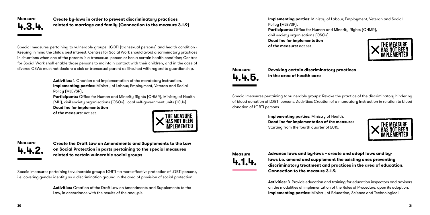**Create by-laws in order to prevent discriminatory practices related to marriage and family (Connection to the measure 3.1.9)**

Special measures pertaining to vulnerable groups: LGBTI (transexual persons) and health condition - Keeping in mind the child's best interest, Centres for Social Work should avoid discriminatory practices in situations when one of the parents is a transexual person or has a certain health condition; Centres for Social Work shall enable those persons to maintain contact with their children, and in the case of divorce CSWs must not declare a sick or transexual parent as ill-suited with regard to guardianship.

> **Activities**: 1. Creation and implementation of the mandatory Instruction. **Implementing parties:** Ministry of Labour, Employment, Veteran and Social Policy (MLEVSP),

**Implementing parties:** Ministry of Labour, Employment, Veteran and Social Policy (MLEVSP), **Participants**: Office for Human and Minority Rights (OHMR), civil society organisations (CSOs). **Deadline for implementation of the measure:** not set..

**Participants:** Office for Human and Minority Rights (OHMR), Ministry of Health (MH), civil society organisations (CSOs), local self-government units (LSUs). **Deadline for implementation** 

**of the measure**: not set.



**Create the Draft Law on Amendments and Supplements to the Law on Social Protection in parts pertaining to the special measures related to certain vulnerable social groups**

Special measures pertaining to vulnerable groups: LGBTI – a more effective protection of LGBTI persons, i.e. covering gender identity as a discrimination ground in the area of provision of social protection.

> **Activities:** Creation of the Draft Law on Amendments and Supplements to the Law, in accordance with the results of the analysis.

**Revoking certain discriminatory practices in the area of health care**

Special measures pertaining to vulnerable groups: Revoke the practice of the discriminatory hindering of blood donation of LGBTI persons. Activities: Creation of a mandatory Instruction in relation to blood donation of LGBTI persons.

> **Implementing parties:** Ministry of Health. **Deadline for implementation of the measure:** Starting from the fourth quarter of 2015.

**Advance laws and by-laws – create and adopt laws and bylaws i.e. amend and supplement the existing ones preventing discriminatory treatment and practices in the area of education. Connection to the measure 3.1.9.**

**Activities:** 3. Provide education and training for education inspectors and advisors on the modalities of implementation of the Rules of Procedure, upon its adoption. **Implementing parties:** Ministry of Education, Science and Technological

**Measure**

**4.4.2.**





**Measure 4.4.5.**



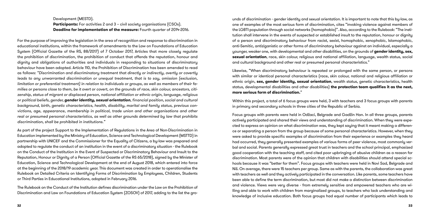Development (MESTD). **Participants:** For activities 2 and 3 - civil society organisations (CSOs). **Deadline for implementation of the measure:** Fourth quarter of 2014-2016.

For the purpose of improving the legislation in the area of recognition and response to discrimination in educational institutions, within the framework of amendments to the Law on Foundations of Education System (Official Gazette of the RS, 88/2017) of 7 October 2017, Articles that more closely regulate the prohibition of discrimination, the prohibition of conduct that offends the reputation, honour and dignity and obligations of authorities and individuals in responding to situations of discriminatory behaviour have been adopted. Article 110, the Prohibition of Discrimination has been amended to read as follows: *"Discrimination and discriminatory treatment that directly or indirectly, overtly or covertly leads to any unwarranted discrimination or unequal treatment, that is to say, omission (exclusion, limitation or preferential treatment) in relation to individuals or groups, as well as members of their families or persons close to them, be it overt or covert, on the grounds of race, skin colour, ancestors, citi*zenship, status of migrant or displaced person, national affiliation or ethnic origin, language, religious *or political beliefs, gender, gender identity, sexual orientation*, financial position, social and cultural *background, birth, genetic characteristics, health, disability, marital and family status, previous convictions, age, appearance, membership in political, trade union and other organisations and other real or presumed personal characteristics, as well as other grounds determined by law that prohibits discrimination, shall be prohibited in institutions."*

As part of the project Support to the Implementation of Regulations in the Area of Non-Discrimination in Education implemented by the Ministry of Education, Science and Technological Development (MSTTD) in partnership with UNICEF and the Commissioner for the Equality of Citizens, a by-law was prepared and adopted to regulate the conduct of an institution in the event of a discriminatory situation - the Rulebook on the Conduct of the Institution in the Event of Suspected or Discriminatory Behaviour and Insult to the Reputation, Honour or Dignity of a Person (Official Gazette of the RS 65/2018), signed by the Minister of Education, Science and Technological Development at the end of August 2018, which entered into force at the beginning of the 2018/19 academic year. This document was created in order to operationalise the Rulebook on Detailed Criteria on Identifying Forms of Discrimination by Employees, Children, Students or Third Parties in Educational Institutions, adopted in February 2016.

The Rulebook on the Conduct of the Institution defines discrimination under the Law on the Prohibition of Discrimination and Law on Foundations of Education System (ZOSOV) of 2017, adding to the list the grounds of discrimination - gender identity and sexual orientation. It is important to note that this by-law, as one of examples of the most serious form of discrimination, cites "invoking violence against members of the LGBTI population through social networks (homophobia)". Also, according to the Rulebook: "The institution shall intervene in the events of suspected or established insult to the reputation, honour or dignity of a person and discriminatory behaviour from racist, sexist, homophobic, xenophobic, Islamophobic, anti-Semitic, antiziganistic or other forms of discriminatory behaviour against an individual, especially a younger, weaker one, with developmental and other disabilities, on the grounds of **gender identity, sex, sexual orientation**, race, skin colour, religious and national affiliation, language, wealth status, social and cultural background and other real or presumed personal characteristics."

Likewise, "When discriminatory behaviour is repeated or prolonged with the same person, or persons with similar or identical personal characteristics (race, skin colour, national and religious affiliation or ethnic origin, **sex, gender identity, sexual orientation**, wealth status, genetic characteristics, health status, developmental disabilities and other disabilities) **the protection team qualifies it as the next, more serious form of discrimination.**"

Within this project, a total of 6 focus groups were held, 3 with teachers and 3 focus groups with parents in primary and secondary schools in three cities of the Republic of Serbia.

Focus groups with parents were held in Odžaci, Belgrade and Gadžin Han. In all three groups, parents actively participated and shared their views and understanding of discrimination. When they were expected to express an opinion on what discrimination was, they kept saying that it meant making a difference or separating a person from the group because of some personal characteristics. However, when they were asked to provide specific examples of discrimination from their experience or examples they heard had occurred, they generally presented examples of various forms of peer violence, most commonly verbal and social. Parents generally expressed great trust in teachers and the school principal, emphasized good cooperation with the teaching staff, and cited poor upbringing of abusive children as a reason for discrimination. Most parents were of the opinion that children with disabilities should attend special schools because it was "better for them". Focus groups with teachers were held in Novi Sad, Belgrade and Niš. On average, there were 15 teachers per group. Same as with the parents, the collaboration was great with teachers as well and they actively participated in the conversation. Like parents, some teachers have been able to define the term discrimination, but most did not make a distinction between discrimination and violence. Views were very diverse - from extremely sensitive and empowered teachers who are willing and able to work with children from marginalized groups, to teachers who lack understanding and knowledge of inclusive education. Both focus groups had equal number of participants which leads to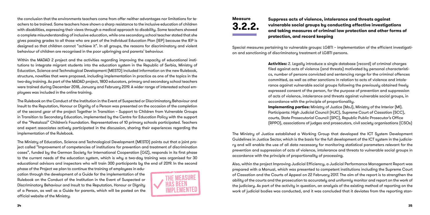the conclusion that the environments teachers come from offer neither advantages nor limitations for teachers to be trained. Some teachers have shown a sharp resistance to the inclusive education of children with disabilities, expressing their views through a medical approach to disability. Some teachers showed a complete misunderstanding of inclusive education, while one secondary school teacher stated that she gives passing grades to all those who are part of the Individual Education Plan (IEP) because the IEP is designed so that children cannot "achieve it". In all groups, the reasons for discriminatory and violent behaviour of children are recognised in the poor upbringing and parents' behaviour.

Within the MADAD 2 project and the activities regarding improving the capacity of educational institutions to integrate migrant students into the education system in the Republic of Serbia, Ministry of Education, Science and Technological Development (MESTD) included information on the new Rulebook, structure, novelties that were proposed, including implementation in practice as one of the topics in the two-day training. As part of the MADAD project, 1800 educators, primary and secondary school teachers were trained during December 2018, January and February 2019. A wider range of interested school employees was included in the online training.

The Rulebook on the Conduct of the Institution in the Event of Suspected or Discriminatory Behaviour and Insult to the Reputation, Honour or Dignity of a Person was presented on the occasion of the completion of the second year of the project Together in Transition – Support to Children from Vulnerable Groups in Transition to Secondary Education, implemented by the Centre for Education Policy with the support of the "Pestalozzi" Children's Foundation. Representatives of 10 primary schools participated. Teachers and expert associates actively participated in the discussion, sharing their experiences regarding the implementation of the Rulebook.

The Ministry of Education, Science and Technological Development (MESTD) points out that a joint project called "Improvement of competencies of institutions for prevention and treatment of discrimination cases", funded by the German Society for International Cooperation (GIZ), responds in its first phase to the current needs of the education sustem, which is why a two-day training was organised for 30 educational advisors and inspectors who will train 300 participants by the end of 2019. In the second

phase of the Project we plan to continue the training of employees in education through the development of a Guide for the implementation of the Rulebook on the Conduct of the Institution in the Event of Suspected or Discriminatory Behaviour and Insult to the Reputation, Honour or Dignity of a Person, as well as a Guide for parents, which will be posted on the official website of the Ministry.



### **Suppress acts of violence, intolerance and threats against vulnerable social groups by conducting effective investigations and taking measures of criminal law protection and other forms of**

**protection, and record keeping**

Special measures pertaining to vulnerable groups: LGBTI – implementation of the efficient investigation and sanctioning of discriminatory treatment of LGBTI persons.

> **Activities:** 2. Legally introduce a single database (record) of criminal charges filed against acts of violence (and threats) motivated by personal characteristics, number of persons convicted and sentencing range for the criminal offences committed, as well as other sanctions in relation to acts of violence and intolerance against vulnerable social groups following the previously obtained freely expressed consent of the person, for the purpose of prevention and suppression of acts of violence, intolerance and threats against vulnerable social groups, in accordance with the principle of proportionality. **Implementing parties:** Ministry of Justice (MoJ), Ministry of the Interior (MI). Participants: High Judicial Council (HJC), Supreme Court of Cassation (SCC), courts, State Prosecutorial Council (SPC), Republic Public Prosecutor's Office (RPPO), associations of judges and prosecutors, civil society organisations (CSOs)

The Ministry of Justice established a Working Group that developed the ICT System Development Guidelines in Justice Sector, which is the basis for the full development of the ICT system in the judiciary and will enable the use of all data necessary for monitoring statistical parameters relevant for the prevention and suppression of acts of violence, intolerance and threats to vulnerable social groups in accordance with the principle of proportionality of processing.

Also, within the project Improving Judicial Efficiency, a Judicial Performance Management Report was prepared with a Manual, which was presented to competent institutions including the Supreme Court of Cassation and the Courts of Appeal on 22 February 2017. The aim of the report is to strengthen the ability of the courts and the prosecution to accurately and uniformly monitor and report on the work of the judiciary. As part of the activity in question, an analysis of the existing method of reporting on the work of judicial bodies was conducted, and it was concluded that it deviates from the reporting stan-

**Measure 3.2.2.**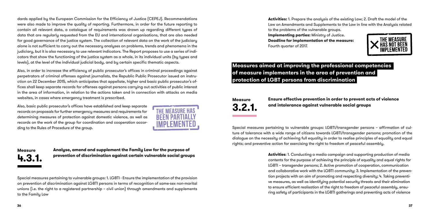

dards applied by the European Commission for the Efficiency of Justice (CEPEJ). Recommendations were also made to improve the quality of reporting. Furthermore, in order for the future reporting to contain all relevant data, a catalogue of requirements was drawn up regarding different types of data that are regularly requested from the EU and international organisations, that are also needed for good governance of the justice system. The collection of relevant data on the work of the judiciary alone is not sufficient to carry out the necessary analyses on problems, trends and phenomena in the judiciary, but it is also necessary to use relevant indicators. The Report proposes to use a series of indicators that show the functioning of the justice system as a whole, in its individual units (by types and levels), at the level of the individual judicial body, and by certain specific thematic aspects.

Also, in order to increase the efficiency of public prosecutor's offices in criminal proceedings against perpetrators of criminal offenses against journalists, the Republic Public Prosecutor issued an instruction on 22 December 2015, which anticipates that appellate, higher and basic public prosecutor's offices shall keep separate records for offenses against persons carrying out activities of public interest in the area of information, in relation to the actions taken and in connection with attacks on media websites, in cases where emergency treatment is prescribed.

Also, basic public prosecutor's offices have established and keep separate records on proposals for further emergency measures and requirements for determining measures of protection against domestic violence, as well as records on the work of the group for coordination and cooperation according to the Rules of Procedure of the group.



**Analyse, amend and supplement the Family Law for the purpose of prevention of discrimination against certain vulnerable social groups**

Special measures pertaining to vulnerable groups: 1. LGBTI - Ensure the implementation of the provision on prevention of discrimination against LGBTI persons in terms of recognition of same-sex non-marital unions (i.e. the right to a registered partnership – civil union) through amendments and supplements to the Family Law

**Activities:** 1. Prepare the analysis of the existing Law; 2. Draft the model of the Law on Amendments and Supplements to the Law in line with the Analysis related to the problems of the vulnerable groups. **Implementing parties:** Ministry of Justice. **Deadline for implementation of the measure:** Fourth quarter of 2017.

### **Measures aimed at improving the professional competencies of measure implementers in the area of prevention and protection of LGBT persons from discrimination**

## **Ensure effective prevention in order to prevent acts of violence**

**and intolerance against vulnerable social groups**

Special measures pertaining to vulnerable groups: LGBTI/transgender persons – affirmation of culture of tolerance with a wide range of citizens towards LGBTI/transgender persons; promotion of the dialogue on the necessity of achieving full equality in order to realise principles of equality and equal rights; and preventive action for exercising the right to freedom of peaceful assembly.

> **Activities**: 1. Conducting a media campaign and supporting production of media contents for the purpose of achieving the principle of equality and equal rights for LGBTI – transgender persons; 2. Active promotion of cooperation, communication and collaborative work with the LGBTI community; 3. Implementation of the prevention projects with an aim of promoting and respecting diversity; 4. Taking preventive measures, as well as identifying potential security threats and their elimination to ensure efficient realisation of the right to freedom of peaceful assembly, ensuring safety of participants in the LGBTI gatherings and preventing acts of violence

**Measure 4.3.1.**

**Measure 3.2.1.**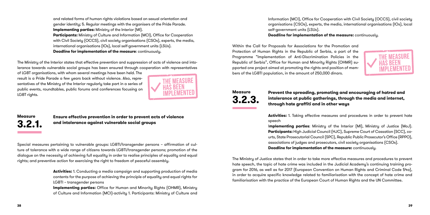and related forms of human rights violations based on sexual orientation and gender identity; 5. Regular meetings with the organisers of the Pride Parade. **Implementing parties:** Ministry of the Interior (MI). **Participants:** Ministry of Culture and Information (MCI), Office for Cooperation with Civil Society (OCCS), civil society organisations (CSOs), experts, the media, international organisations (IOs), local self-government units (LSUs). **Deadline for implementation of the measure**: continuously.

of LGBT organisations, with whom several meetings have been held. The result is a Pride Parade a few years back without violence. Also, representatives of the Ministru of the Interior regularly take part in a series of public events, roundtables, public forums and conferences focusing on LGBT rights.



The Ministry of the Interior states that effective prevention and suppression of acts of violence and intolerance towards vulnerable social groups has been ensured through cooperation with representatives

> **Ensure effective prevention in order to prevent acts of violence and intolerance against vulnerable social groups**

Special measures pertaining to vulnerable groups: LGBTI/transgender persons – affirmation of culture of tolerance with a wide range of citizens towards LGBTI/transgender persons; promotion of the dialogue on the necessity of achieving full equality in order to realise principles of equality and equal rights; and preventive action for exercising the right to freedom of peaceful assembly.

> **Activities:** 1. Conducting a media campaign and supporting production of media contents for the purpose of achieving the principle of equality and equal rights for LGBTI – transgender persons

> **Implementing parties:** Office for Human and Minority Rights (OHMR), Ministry of Culture and Information (MCI)-activity 1. Participants: Ministry of Culture and

Information (MCI), Office for Cooperation with Civil Society (OCCS), civil society organisations (CSOs), experts, the media, international organisations (IOs), local self-government units (LSUs). **Deadline for implementation of the measure:** continuously.

Within the Call for Proposals for Associations for the Promotion and Protection of Human Rights in the Republic of Serbia, a part of the Programme "Implementation of Anti-Discrimination Policies in the Republic of Serbia", Office for Human and Minority Rights (OHMR) supported one project aimed at promoting the rights and position of members of the LGBTI population, in the amount of 250,000 dinars.

#### **Prevent the spreading, promoting and encouraging of hatred and intolerance at public gatherings, through the media and internet, through hate graffiti and in other ways**

**Activities:** 1. Taking effective measures and procedures in order to prevent hate speech

I**mplementing parties**: Ministry of the Interior (MI), Ministry of Justice (MoJ). **Participants:** High Judicial Council (HJC), Supreme Court of Cassation (SCC), courts, State Prosecutorial Council (SPC), Republic Public Prosecutor's Office (RPPO), associations of judges and prosecutors, civil society organisations (CSOs). **Deadline for implementation of the measure:** continuously.

The Ministry of Justice states that in order to take more effective measures and procedures to prevent hate speech, the topic of hate crime was included in the Judicial Academy's continuing training program for 2016, as well as for 2017 (European Convention on Human Rights and Criminal Code 54a), in order to acquire specific knowledge related to familiarisation with the concept of hate crime and familiarisation with the practice of the European Court of Human Rights and the UN Committee.



**Measure 3.2.3.**

### **Measure 3.2.1.**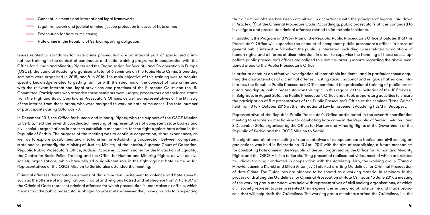- Concept, elements and international legal framework; **Contract Contract**
- Legal framework and judicial criminal justice protection in cases of hate crime; **Contract Contract**
- Prosecution for hate crime cases; **Contract Contract** 
	- Hate crime in the Republic of Serbia, reporting obligation.

Issues related to standards for hate crime prosecution are an integral part of specialised criminal law training in the context of continuous and initial training programs. In cooperation with the Office for Human and Minority Rights and the Organisation for Security and Co-operation in Europe (OSCE), the Judicial Academy organised a total of 6 seminars on the topic: Hate Crime. 2 one-day seminars were organised in 2015, and 4 in 2016. The main objective of this training was to acquire specific knowledge related to getting familiar with the specifics of the concept of hate crime and with the relevant international legal provisions and practices of the European Court and the UN Committee. Participants who attended these seminars were judges, prosecutors and their assistants from the High and Basic Courts and Prosecutor's Offices, as well as representatives of the Ministry of the Interior, from those areas, who were assigned to work on hate crime cases. The total number of participants during 2016 was 70.

In December 2017, the Office for Human and Minority Rights, with the support of the OSCE Mission to Serbia, held the seventh coordination meeting of representatives of competent state bodies and civil society organisations in order to establish a mechanism for the fight against hate crime in the Republic of Serbia. The purpose of the meeting was to continue cooperation, share experiences, as well as to explore possibilities and mechanisms for establishing cooperation between competent state bodies, primarily the Ministry of Justice, Ministry of the Interior, Supreme Court of Cassation, Republic Public Prosecutor's Office, Judicial Academy, Commissioner for the Protection of Equality, the Centre for Basic Police Training and the Office for Human and Minority Rights, as well as civil society organisations, which have played a significant role in the fight against hate crime so far. Representatives of the OSCE Mission to Serbia also attended the meeting.

Criminal offenses that contain elements of discrimination, incitement to violence and hate speech, such as the offense of inciting national, racial and religious hatred and intolerance from Article 317 of the Criminal Code represent criminal offenses for which prosecution is undertaken ex officio, which means that the public prosecutor is obliged to prosecute whenever they have grounds for suspecting

that a criminal offense has been committed, in accordance with the principle of legality laid down in Article 6 (1) of the Criminal Procedure Code. Accordingly, public prosecutor's offices continued to investigate and prosecute criminal offenses related to interethnic incidents.

In addition, the Program and Work Plan of the Republic Public Prosecutor's Office stipulates that this Prosecutor's Office will supervise the conduct of competent public prosecutor's offices in cases of general public interest or for which the public is interested, including cases related to violations of human rights and all forms of discrimination. In order to supervise the handling of these cases, appellate public prosecutor's offices are obliged to submit quarterly reports regarding the above-mentioned areas to the Public Prosecutor's Office.

In order to conduct an effective investigation of inter-ethnic incidents, and in particular those acquiring the characteristics of a criminal offense, inciting racial, national and religious hatred and intolerance, the Republic Public Prosecutor's Office continued the professional training of public prosecutors and deputy public prosecutors on this topic. In this regard, at the invitation of the US Embassy in Belgrade, in August 2016, the Public Prosecutor's Office undertook preparatory activities to ensure the participation of 5 representatives of the Public Prosecutor's Office at the seminar "Hate Crime" held from 3 to 7 October 2016 at the International Law Enforcement Academy (ILEA) in Budapest.

Representative of the Republic Public Prosecutor's Office participated in the seventh coordination meeting to establish a mechanism for combating hate crime in the Republic of Serbia, held on 1 and 2 December 2016, organised by the Office for Human and Minority Rights of the Government of the Republic of Serbia and the OSCE Mission to Serbia.

The eighth coordination meeting of representatives of competent state bodies and civil society organisations was held in Belgrade on 10 April 2017 with the aim of establishing a future mechanism for combating hate crime in the Republic of Serbia, organised by the Office for Human and Minority Rights and the OSCE Mission to Serbia. They presented realised activities, most of which are related to judicial training conducted in cooperation with the Academy. Also, the working group (Tamara Mirović, Jasmina Kiurski and Milan Antonijević) started drafting Guidelines for Criminal Prosecution of Hate Crime. The Guidelines are planned to be shared as a working material in seminars. In the process of drafting the Guidelines for Criminal Prosecution of Hate Crime, on 15 June 2017, a meeting of the working group members was held with representatives of civil society organisations, at which civil society representatives presented their experiences in the area of hate crime and made proposals that will help draft the Guidelines. The working group members drafted the Guidelines, i.e. the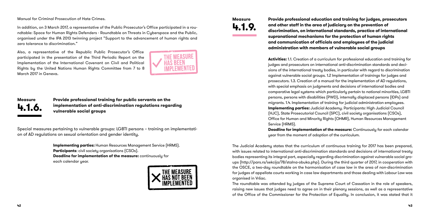Manual for Criminal Prosecution of Hate Crimes.

In addition, on 3 March 2017, a representative of the Public Prosecutor's Office participated in a roundtable: Space for Human Rights Defenders - Roundtable on Threats in Cyberspace and the Public, organised under the IPA 2013 twinning project "Support to the advancement of human rights and zero tolerance to discrimination."

Also, a representative of the Republic Public Prosecutor's Office participated in the presentation of the Third Periodic Report on the Implementation of the International Covenant on Civil and Political Rights by the United Nations Human Rights Committee from 7 to 8 March 2017 in Geneva.



**Provide professional training for public servants on the implementation of anti-discrimination regulations regarding vulnerable social groups**

Special measures pertaining to vulnerable groups: LGBTI persons – training on implementation of AD regulations on sexual orientation and gender identity.

> **Implementing parties:** Human Resources Management Service (HRMS). **Participants**: civil society organisations (CSOs). **Deadline for implementation of the measure:** continuously for each calendar year.



**Provide professional education and training for judges, prosecutors and other staff in the area of judiciary on the prevention of discrimination, on international standards, practice of international supranational mechanisms for the protection of human rights and communication of officials and employees of the judicial administration with members of vulnerable social groups**

**Activities:** 1.1. Creation of a curriculum for professional education and training for judges and prosecutors on international anti-discrimination standards and decisions of the international treaty bodies, in particular with regard to discrimination against vulnerable social groups. 1.2 Implementation of trainings for judges and prosecutors. 1.3. Creation of a manual for the implementation of AD regulations, with special emphasis on judgments and decisions of international bodies and comparative legal systems which particularly pertain to national minorities, LGBTI persons, persons with disabilities (PWD), internally displaced persons (IDPs) and migrants. 1.4. Implementation of training for judicial administration employees. **Implementing parties:** Judicial Academy. Participants: High Judicial Council (HJC), State Prosecutorial Council (SPC), civil society organisations (CSOs), Office for Human and Minority Rights (OHMR), Human Resources Management Service (HRMS).

**Deadline for implementation of the measure:** Continuously for each calendar year from the moment of adoption of the curriculum.

The Judicial Academy states that the curriculum of continuous training for 2017 has been prepared, with issues related to international anti-discrimination standards and decisions of international treaty bodies representing its integral part, especially regarding discrimination against vulnerable social groups (http://pars.rs/sekcija/78/stalna-obuka.php). During the third quarter of 2017, in cooperation with the OSCE, a two-day roundtable on the harmonisation of case law in the area of non-discrimination for judges of appellate courts working in case law departments and those dealing with Labour Law was organised in Vršac.

The roundtable was attended by judges of the Supreme Court of Cassation in the role of speakers, raising new issues that judges need to agree on in their plenary sessions, as well as a representative of the Office of the Commissioner for the Protection of Equality. In conclusion, it was stated that it

## **Measure 4.1.6.**

## **Measure 4.1.9.**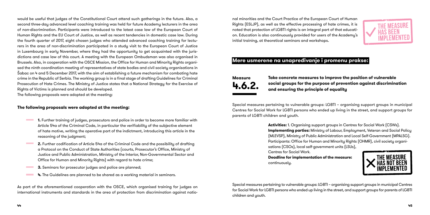would be useful that judges of the Constitutional Court attend such gatherings in the future. Also, a second three-day advanced level coaching training was held for future Academy lecturers in the area of non-discrimination. Participants were introduced to the latest case law of the European Court of Human Rights and the EU Court of Justice, as well as recent tendencies in domestic case law. During the fourth quarter of 2017, eight chosen judges who attended advanced coaching training for lecturers in the area of non-discrimination participated in a study visit to the European Court of Justice in Luxembourg in early November, where they had the opportunity to get acquainted with the jurisdictions and case law of this court. A meeting with the European Ombudsman was also organised in Brussels. Also, in cooperation with the OSCE Mission, the Office for Human and Minority Rights organised the ninth coordination meeting of representatives of state bodies and civil society organisations in Šabac on 4 and 5 December 2017, with the aim of establishing a future mechanism for combating hate crime in the Republic of Serbia. The working group is in a final stage of drafting Guidelines for Criminal Prosecution of Hate Crimes. The Ministry of Justice states that a National Strategy for the Exercise of Rights of Victims is planned and should be developed.

- **1.** Further training of judges, prosecutors and police in order to become more familiar with Article 54a of the Criminal Code, in particular the verifiability of the subjective element of hate motive, writing the operative part of the indictment, introducing this article in the reasoning of the judgment;
- **Contract Contract 2.** Further codification of Article 54a of the Criminal Code and the possibility of drafting a Protocol on the Conduct of State Authorities (courts, Prosecutor's Office, Ministry of Justice and Public Administration, Ministry of the Interior, Non-Governmental Sector and Office for Human and Minority Rights) with regard to hate crime;
	- **3.** Seminars for prosecutor judges and police are planned;
	- **4.** The Guidelines are planned to be shared as a working material in seminars.

The following proposals were adopted at the meeting:

#### **The following proposals were adopted at the meeting:**

As part of the aforementioned cooperation with the OSCE, which organised training for judges on international instruments and standards in the area of protection from discrimination against national minorities and the Court Practice of the European Court of Human Rights (ESLJP), as well as the effective processing of hate crimes, it is noted that protection of LGBTI rights is an integral part of that education. Education is also continuously provided for users of the Academy's initial training, at theoretical seminars and workshops.

#### **Mere usmerene na unapređivanje i promenu prakse:**

## **Take concrete measures to improve the position of vulnerable social groups for the purpose of prevention against discrimination**



**and ensuring the principle of equality**

Special measures pertaining to vulnerable groups: LGBTI – organising support groups in municipal Centres for Social Work for LGBTI persons who ended up living in the street, and support groups for parents of LGBTI children and youth.

> **Activities:** 1. Organising support groups in Centres for Social Work (CSWs). **Implementing parties:** Ministry of Labour, Employment, Veteran and Social Policy (MLEVSP), Ministry of Public Administration and Local Self-Government (MPALSG). Participants: Office for Human and Minority Rights (OHMR), civil society organisations (CSOs), local self-government units (LSUs), Centres for Social Work. **Deadline for implementation of the measure:** continuously.

Special measures pertaining to vulnerable groups: LGBTI – organising support groups in municipal Centres for Social Work for LGBTI persons who ended up living in the street, and support groups for parents of LGBTI children and youth.



**Measure 4.6.2.**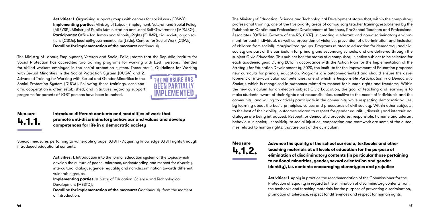with Sexual Minorities in the Social Protection System (DUGA) and 2. Advanced Training for Working with Sexual and Gender Minorities in the Social Protection Sustem (DUGA). Following these trainings, case-specific cooperation is often established, and initiatives regarding support programs for parents of LGBT persons have been launched.



**Activities:** 1. Organising support groups with centres for social work (CSWs). **Implementing parties:** Ministry of Labour, Employment, Veteran and Social Policy (MLEVSP), Ministry of Public Administration and Local Self-Government (MPALSG). **Participants:** Office for Human and Minority Rights (OHMR), civil society organisations (CSOs), local self-government units (LSUs), Centres for Social Work (CSWs). **Deadline for implementation of the measure:** continuously.

The Ministry of Labour, Employment, Veteran and Social Policy states that the Republic Institute for Social Protection has accredited two training programs for working with LGBT persons, intended for skilled workers employed in the social protection system. These are: 1. Guidelines for Working

> **Deadline for implementation of the measure:** Continuously from the moment of introduction.

**Introduce different contents and modalities of work that promote anti-discriminatory behaviour and values and develop competences for life in a democratic society**

Special measures pertaining to vulnerable groups: LGBTI - Acquiring knowledge LGBTI rights through introduced educational contents.

> **Activities:** 1. Introduction into the formal education system of the topics which develop the culture of peace, tolerance, understanding and respect for diversity, intercultural dialogue, gender equality and non-discrimination towards different vulnerable groups.

**Implementing parties**: Ministry of Education, Science and Technological Development (MESTD).

The Ministry of Education, Science and Technological Development states that, within the compulsory professional training, one of the five priority areas of compulsory teacher training, established by the Rulebook on Continuous Professional Development of Teachers, Pre-School Teachers and Professional Associates (Official Gazette of the RS, 81/17) is: creating a tolerant and non-discriminatory environment for each individual, as well as prevention of violence, prevention of discrimination and inclusion of children from socially marginalized groups. Programs related to education for democracy and civil society are part of the curriculum for primary and secondary schools, and are delivered through the subject *Civic Education*. This subject has the status of a compulsory elective subject to be selected for each academic year. During 2017, in accordance with the Action Plan for the Implementation of the Strategy for Education Development by 2020, the Institute for the Improvement of Education prepared new curricula for primary education. Programs are outcome-oriented and should ensure the development of inter-curricular competencies, one of which is *Responsible Participation in a Democratic Society*, which is recognised in outcomes related to respect for human rights and freedoms. Within the new curriculum for an elective subject Civic Education, the goal of teaching and learning is to make students aware of their rights and responsibilities, sensitive to the needs of individuals and the community, and willing to actively participate in the community while respecting democratic values, by learning about the basic principles, values and procedures of civil society. Within other subjects, to the best of their ability, outcomes related to respect for gender equality, diversity and intercultural dialogue are being introduced. Respect for democratic procedures, responsible, humane and tolerant behaviour in society, sensitivity to social injustice, cooperation and teamwork are some of the outcomes related to human rights, that are part of the curriculum.

> **Advance the quality of the school curricula, textbooks and other teaching materials at all levels of education for the purpose of elimination of discriminatory contents (in particular those pertaining to national minorities, gender, sexual orientation and gender identity), i.e. contents encouraging stereotypes and prejudice**

**Activities:** 1. Apply in practice the recommendation of the Commissioner for the Protection of Equality in regard to the elimination of discriminatory contents from the textbooks and teaching materials for the purpose of preventing discrimination, promotion of tolerance, respect for differences and respect for human rights.

**Measure 4.1.2.**

## **Measure 4.1.1.**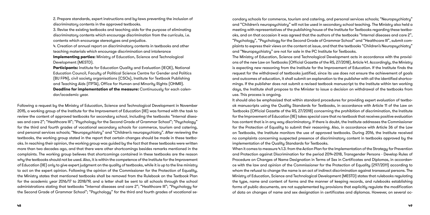2. Prepare standards, expert instructions and by-laws preventing the inclusion of discriminatory contents in the approved textbooks.

3. Revise the existing textbooks and teaching aids for the purpose of eliminating discriminatory contents which encourage discrimination from the curricula, i.e. contents which encourage stereotypes and prejudice.

4. Creation of annual report on discriminatory contents in textbooks and other teaching materials which encourage discrimination and intolerance **Implementing parties:** Ministry of Education, Science and Technological Development (MESTD).

**Participants:** Institute for Education Quality and Evaluation (IEQE), National Education Council, Faculty of Political Science Centre for Gender and Politics (BU FPN), civil society organisations (CSOs), Institute for Textbook Publishing and Teaching Aids (ITPTA), Office for Human and Minority Rights (OHMR).

**Deadline for implementation of the measure:** Continuously for each calendar/academic year.

Following a request by the Ministry of Education, Science and Technological Development in November 2015, a working group of the Institute for the Improvement of Education (IIE) was formed with the task to review the content of approved textbooks for secondary school, including the textbooks "Internal diseases and care 2"; "Healthcare III"; "Psychology for the Second Grade of Grammar School"; "Psychology" for the third and fourth grades of vocational secondary schools for commerce, tourism and catering, and personal services schools; "Neuropsychiatry" and "Children's neuropsychiatry". After reviewing the textbooks, the working group stated in the report that certain changes should be made in these textbooks. In reaching their opinion, the working group was guided by the fact that these textbooks were written more than two decades ago, and that there were other shortcomings besides remarks mentioned in the complaints. The working group believes that shortcomings contained in these textbooks are the reason why the textbooks should not be used. Also, it is within the competence of the Institute for the Improvement of Education (IIE) only to give expert judgment on the quality of textbooks, while it is up to the line ministry to act on the expert opinion. Following the opinion of the Commissioner for the Protection of Equality, the Ministry states that mentioned textbooks shall be removed from the Rulebook on the Textbook Plan for the academic year 2016/17 to 2018/19, and a letter shall be sent to all schools through the school administrations stating that textbooks "Internal diseases and care 2"; "Healthcare III"; "Psychology for the Second Grade of Grammar School"; "Psychology" for the third and fourth grades of vocational secondary schools for commerce, tourism and catering, and personal services schools; "Neuropsychiatry" and "Children's neuropsychiatry" will not be used in secondary school teaching. The Ministry also held a meeting with representatives of the publishing house of the Institute for Textbooks regarding these textbooks, and on that occasion it was agreed that the authors of the textbooks "Internal diseases and care 2", "Psychology", "Psychology for the Second Grade of Grammar School" and "Healthcare III", submit complaints to express their views on the content at issue, and that the textbooks "Children's Neuropsychiatry" and "Neuropsychiatry" are not for sale in the PC Institute for Textbooks. The Ministry of Education, Science and Technological Development acts in accordance with the provisions of the new Law on Textbooks (Official Gazette of the RS, 27/2018), Article 41. Accordingly, the Ministry is expecting new reasoning from the Institute for the Improvement of Education. If the Institute finds the request for the withdrawal of textbooks justified, since its use does not ensure the achievement of goals and outcomes of education, it shall submit an explanation to the publisher with all the identified shortcomings. If the publisher does not submit a revised textbook manuscript to the Institute within ten working days, the Institute shall propose to the Minister to issue a decision on withdrawal of the textbooks from use. This process is ongoing.

It should also be emphasized that within standard procedures for providing expert evaluation of textbook manuscripts using the Quality Standards for Textbooks, in accordance with Article 11 of the Law on Textbooks (Official Gazette of the RS, 27/2018) concerning the prohibition of discrimination, the Institute for the Improvement of Education (IIE) takes special care that no textbook that receives positive evaluation has content that is in any way discriminatory. If there is doubt, the Institute addresses the Commissioner for the Protection of Equality to submit their reasoning. Also, in accordance with Article 36 of the Law on Textbooks, the Institute monitors the use of approved textbooks. During 2016, the Institute received no complaints concerning suspected presence of discriminatory content in textbooks approved by the implementation of the Quality Standards for Textbooks. When it comes to measure 4.1.3. from the Action Plan for the Implementation of the Strategy for Prevention and Protection against Discrimination for the period 2014-2018, Transgender Persons - Develop Rules of Procedure on Changes of Name Designation in Terms of Sex in Certificates and Diplomas, in accordance with the law and opinion of the Commissioner for the Protection of Equality (297/2011) according to whom the refusal to change the name is an act of indirect discrimination against transexual persons. The Ministry of Education, Science and Technological Development (MESTD) states that rulebooks regulating the type, name and content of forms and the manner of keeping records, and rulebooks establishing forms of public documents, are not supplemented by provisions that explicitly regulate the modification of data on changes of name and sex designation in certificates and diplomas. However, on several oc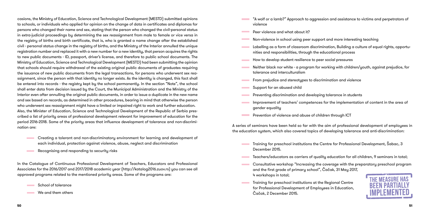casions, the Ministry of Education, Science and Technological Development (MESTD) submitted opinions to schools, or individuals who applied for opinion on the change of data in certificates and diplomas for persons who changed their name and sex, stating that the person who changed the civil-personal status in extra-judicial proceedings by determining the sex reassignment from male to female or vice versa in the registry of births and birth certificate, that is, who is granted a name change after the established civil - personal status change in the registry of births, and the Ministry of the Interior annulled the unique registration number and replaced it with a new number for a new identity, that person acquires the rights to new public documents - ID, passport, driver's license, and therefore to public school documents. The Ministry of Education, Science and Technological Development (MESTD) had been submitting the opinion that schools should require withdrawal of the existing original public documents of graduates requiring the issuance of new public documents from the legal transactions, for persons who underwent sex reassignment, since the person with that identity no longer exists. As the identity is changed, this fact shall be entered into records - the registry kept by the school permanently. In the section "Note", the school shall enter data from decision issued by the Court, the Municipal Administration and the Ministry of the Interior even after annulling the original public documents, in order to issue a duplicate in the new name and sex based on records, as determined in other procedures, bearing in mind that otherwise the person who underwent sex reassignment might have a limited or impaired right to work and further education. Also, the Minister of Education, Science and Technological Development of the Republic of Serbia prescribed a list of priority areas of professional development relevant for improvement of education for the period 2016-2018. Some of the priority areas that influence development of tolerance and non-discrimination are:

- violence
- **Contract** Peer violence and what about it?
- Non-violence in school using peer support and more interesting teaching
- Labelling as a form of classroom discrimination, Building a culture of equal rights, opportu- $\sim 10^{11}$  m  $^{-1}$ nities and responsibilities, through the educational process
- How to develop student resilience to peer social pressures
- Neither black nor white a program for working with children/youth, against prejudice, for tolerance and interculturalism
- From prejudice and stereotypes to discrimination and violence
- Support for an abused child **Contract Contract**
- Preventing discrimination and developing tolerance in students
- Improvement of teachers' competences for the implementation of content in the area of gender equality
- **Prevention of violence and abuse of children through ICT**

- **Training for preschool institutions the Centre for Professional Development, Šabac, 3** December 2015.
- Teachers/educators as carriers of quality education for all children, 9 seminars in total;
- Consultative workshop "Increasing the coverage with the preparatory preschool program **Contract Contract** and the first grade of primary school", Čačak, 31 May 2017, 4 workshops in total;
- **Training for preschool institutions at the Regional Centre** for Professional Development of Employees in Education, Čačak, 2 December 2015.
- Creating a tolerant and non-discriminatory environment for learning and development of each individual, protection against violence, abuse, neglect and discrimination
- Recognising and responding to security risks

In the Catalogue of Continuous Professional Development of Teachers, Educators and Professional Associates for the 2016/2017 and 2017/2018 academic year (http://katalog2016.zuov.rs) you can see all approved programs related to the mentioned priority areas. Some of the programs are:

School of tolerance

We and them others

"A wolf or a lamb?" Approach to aggression and assistance to victims and perpetrators of



A series of seminars have been held so far with the aim of professional development of employees in the education system, which also covered topics of developing tolerance and anti-discrimination: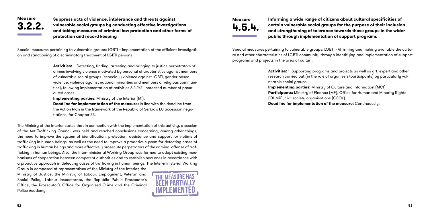**Suppress acts of violence, intolerance and threats against vulnerable social groups by conducting effective investigations and taking measures of criminal law protection and other forms of protection and record keeping**

Special measures pertaining to vulnerable groups: LGBTI – implementation of the efficient investigation and sanctioning of discriminatory treatment of LGBTI persons

> **Activities:** 1. Detecting, finding, arresting and bringing to justice perpetrators of crimes involving violence motivated by personal characteristics against members of vulnerable social groups (especially violence against LGBTI, gender-based violence, violence against national minorities and members of religious communities), following implementation of activities 3.2.2/2. Increased number of prosecuted cases.

**Implementing parties:** Ministry of the Interior (MI).

**Deadline for implementation of the measure:** In line with the deadline from the Action Plan in the framework of the Republic of Serbia's EU accession negotiations, for Chapter 23.

The Ministry of the Interior states that in connection with the implementation of this activity, a session of the Anti-Trafficking Council was held and reached conclusions concerning, among other things, the need to improve the system of identification, protection, assistance and support for victims of trafficking in human beings, as well as the need to improve a proactive system for detecting cases of trafficking in human beings and more effectively prosecute perpetrators of the criminal offense of trafficking in human beings. Also, the Inter-ministerial Working Group was formed to adapt existing mechanisms of cooperation between competent authorities and to establish new ones in accordance with a proactive approach in detecting cases of trafficking in human beings. The Inter-ministerial Working

Group is composed of representatives of the Ministry of the Interior, the Ministry of Justice, the Ministry of Labour, Employment, Veteran and Social Policy, Labour Inspectorate, the Republic Public Prosecutor's Office, the Prosecutor's Office for Organised Crime and the Criminal Police Academy.



### **Informing a wide range of citizens about cultural specificities of certain vulnerable social groups for the purpose of their inclusion and strengthening of tolerance towards those groups in the wider**

**public through implementation of support programs**

Special measures pertaining to vulnerable groups: LGBTI - Affirming and making available the culture and other characteristics of LGBTI community through identifying and implementation of support programs and projects in the area of culturi.

> **Activities:** 1. Supporting programs and projects as well as art, expert and other research carried out (in the role of organisers/participants) by particularly vulnerable social groups. **Implementing parties:** Ministry of Culture and Information (MCI). **Participants:** Ministry of Finance (MF), Office for Human and Minority Rights (OHMR), civil society organisations (CSOs). **Deadline for implementation of the measure:** Continuously.

## **Measure 3.2.2.**

**Measure 4.5.4.**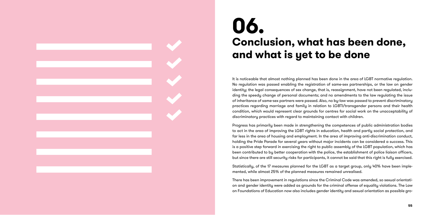It is noticeable that almost nothing planned has been done in the area of LGBT normative regulation. No regulation was passed enabling the registration of same-sex partnerships, or the law on gender identity; the legal consequences of sex change, that is, reassignment, have not been regulated, inclu ding the speedy change of personal documents; and no amendments to the law regulating the issue of inheritance of same-sex partners were passed. Also, no by-law was passed to prevent discriminatory practices regarding marriage and family in relation to LGBTI/transgender persons and their health condition, which would represent clear grounds for centres for social work on the unacceptability of discriminatory practices with regard to maintaining contact with children.

Progress has primarily been made in strengthening the competences of public administration bodies to act in the area of improving the LGBT rights in education, health and partly social protection, and far less in the area of housing and employment. In the area of improving anti-discrimination conduct, holding the Pride Parade for several years without major incidents can be considered a success. This is a positive step forward in exercising the right to public assembly of the LGBT population, which has been contributed to by better cooperation with the police, the establishment of police liaison officers, but since there are still security risks for participants, it cannot be said that this right is fully exercised.

Statistically, of the 17 measures planned for the LGBT as a target group, only 40% have been imple mented, while almost 25% of the planned measures remained unrealised.

There has been improvement in regulations since the Criminal Code was amended, so sexual orientati on and gender identity were added as grounds for the criminal offense of equality violations. The Law on Foundations of Education now also includes gender identity and sexual orientation as possible gro -

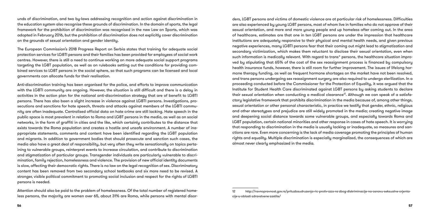unds of discrimination, and two by-laws addressing recognition and action against discrimination in the education system also recognise these grounds of discrimination. In the domain of sports, the legal framework for the prohibition of discrimination was recognised in the new Law on Sports, which was adopted in February 2016, but the prohibition of discrimination does not explicitly cover discrimination on the grounds of sexual orientation and gender identity.

The European Commission's 2018 Progress Report on Serbia states that training for adequate social protection services for LGBTI persons and their families has been provided for employees of social work centres. However, there is still a need to continue working on more adequate social support programs targeting the LGBT population, as well as on rulebooks setting out the conditions for providing combined services to LGBT persons in the social sphere, so that such programs can be licensed and local governments can allocate funds for their realisation.

Anti-discrimination training has been organised for the police, and efforts to improve communication with the LGBTI community are ongoing. However, the situation is still difficult and there is a delay in activities in the action plan for the national anti-discrimination strategy that are of benefit to LGBTI persons. There has also been a slight increase in violence against LGBTI persons. Investigations, prosecutions and sanctions for hate speech, threats and attacks against members of the LGBTI community are often inadequate. Centralised official data on hate crime are still lacking. Hate speech in the public space is most prevalent in relation to Roma and LGBT persons in the media, as well as on social networks, in the form of graffiti in cities and the like, which certainly contributes to the distance that exists towards the Roma population and creates a hostile and unsafe environment. A number of inappropriate statements, comments and content have been identified regarding the LGBT population and migrants. In addition to government bodies that should prosecute and sanction such cases, the media also have a great deal of responsibility, but very often they write sensationally on topics pertaining to vulnerable groups, reinterpret events to increase circulation, and contribute to discrimination and stigmatization of particular groups. Transgender individuals are particularly vulnerable to discrimination, family rejection, homelessness and violence. The provision of new official identity documents is slow, affecting their democratic rights. There is no law on the legal recognition of sex. Discriminatory content has been removed from two secondary school textbooks and six more need to be revised. A stronger, visible political commitment to promoting social inclusion and respect for the rights of LGBTI persons is needed.

Attention should also be paid to the problem of homelessness. Of the total number of registered homeless persons, the majority are women over 65, about 31% are Roma, while persons with mental disorders, LGBT persons and victims of domestic violence are at particular risk of homelessness. Difficulties are also experienced by young LGBT persons, most of whom live in families who do not approve of their sexual orientation, and more and more young people end up homeless after coming out. In the area of healthcare, estimates are that one in ten LGBT persons are under the impression that healthcare institutions are adequately responsive to their physical and mental health needs, and given previous negative experiences, many LGBTI persons fear that their coming out might lead to stigmatization and secondary victimization, which makes them reluctant to disclose their sexual orientation, even when such information is medically relevant. With regard to trans\* persons, the healthcare situation improved by stipulating that 65% of the cost of the sex reassignment process is financed by compulsory health insurance funds, however, there is still room for further improvement. The issues of lifelong hormone therapy funding, as well as frequent hormone shortages on the market have not been resolved, and trans persons undergoing sex reassignment surgery are also required to undergo sterilization. In a proceeding conducted before the Commissioner for the Protection of Equality, it was argued that the Institute for Student Health Care discriminated against LGBT persons by asking students to declare their sexual orientation when conducting a medical clearance<sup>12</sup>. Although we can speak of a satisfactory legislative framework that prohibits discrimination in the media because of, among other things, sexual orientation or other personal characteristic, in practice we testify that gender, ethnic, religious and other stereotypes and prejudice are still widely promoted in the media; creating negative image and deepening social distance towards some vulnerable groups, and especially towards Roma and LGBT population, certain national minorities and other response in cases of hate speech. It is worrying that responding to discrimination in the media is usually lacking or inadequate, so measures and sanctions are rare. Even more concerning is the lack of media coverage promoting the principles of human rights and equality. Multiple discrimination is especially marginalized, the consequences of which are almost never clearly emphasized in the media.

<sup>12</sup> http://ravnopravnost.gov.rs/prituzbaudruzenja-ric-protiv-zzzs-ns-zbog-diskriminacije-na-osnovu-seksualne-orjentacije-u-oblasti-zdravstvene-zastite/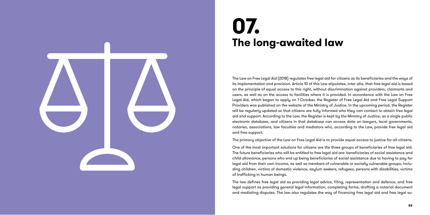The Law on Free Legal Aid (2018) regulates free legal aid for citizens as its beneficiaries and the ways of its implementation and provision. Article 10 of this Law stipulates, inter alia, that free legal aid is based on the principle of equal access to this right, without discrimination against providers, claimants and users, as well as on the access to facilities where it is provided. In accordance with the Law on Free Legal Aid, which began to apply on 1 October, the Register of Free Legal Aid and Free Legal Support Providers was published on the website of the Ministry of Justice. In the upcoming period, the Register will be regularly updated so that citizens are fully informed who they can contact to obtain free legal aid and support. According to the Law, the Register is kept by the Ministry of Justice, as a single public electronic database, and citizens in that database can access data on lawyers, local governments, notaries, associations, law faculties and mediators who, according to the Law, provide free legal aid and free support.

The primary objective of the Law on Free Legal Aid is to provide equal access to justice for all citizens.

One of the most important solutions for citizens are the three groups of beneficiaries of free legal aid. The future beneficiaries who will be entitled to free legal aid are: beneficiaries of social assistance and child allowance, persons who end up being beneficiaries of social assistance due to having to pay for legal aid from their own income, as well as members of vulnerable or socially vulnerable groups, inclu ding children, victims of domestic violence, asylum seekers, refugees, persons with disabilities, victims of trafficking in human beings.

The law defines free legal aid as providing legal advice, filing, representation and defence, and free legal support as providing general legal information, completing forms, drafting a notarial document and mediating disputes. The law also regulates the way of financing free legal aid and free legal su -



# **07. The long-awaited law**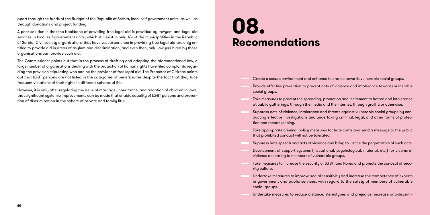pport through the funds of the Budget of the Republic of Serbia, local self-government units, as well as through donations and project funding.

A poor solution is that the backbone of providing free legal aid is provided by lawyers and legal aid services in local self-government units, which still exist in only 1/4 of the municipalities in the Republic of Serbia. Civil society organisations that have vast experience in providing free legal aid are only entitled to provide aid in areas of asylum and discrimination, and even then, only lawyers hired by those organisations can provide such aid.

The Commissioner points out that in the process of drafting and adopting the aforementioned law, a large number of organisations dealing with the protection of human rights have filed complaints regarding the provision stipulating who can be the provider of free legal aid. The Protector of Citizens points out that LGBT persons are not listed in the categories of beneficiaries despite the fact that they face frequent violations of their rights in different spheres of life.

However, it is only after regulating the issue of marriage, inheritance, and adoption of children in laws, that significant systemic improvements can be made that enable equality of LGBT persons and prevention of discrimination in the sphere of private and family life.

Create a secure environment and enhance tolerance towards vulnerable social groups.

Provide effective prevention to prevent acts of violence and intolerance towards vulnerable

Take measures to prevent the spreading, promotion and incitement to hatred and intolerance at public gatherings, through the media and the Internet, through graffiti or otherwise.

Suppress acts of violence, intolerance and threats against vulnerable social groups by conducting effective investigations and undertaking criminal, legal, and other forms of protec-

Take appropriate criminal policy measures for hate crime and send a message to the public

- 
- social groups.
- 
- tion and record keeping.
- that prohibited conduct will not be tolerated.
- 
- violence according to members of vulnerable groups.
- rity culture.
- social groups.
- 

Suppress hate speech and acts of violence and bring to justice the perpetrators of such acts.

Development of support systems (institutional, psychological, material, etc.) for victims of

Take measures to increase the security of LGBTI and Roma and promote the concept of secu-

Undertake measures to improve social sensitivity and increase the competence of experts in government and public services, with regard to the safety of members of vulnerable

Undertake measures to reduce distance, stereotypes and prejudice, increase anti-discrimi-

# **08. Recomendations**